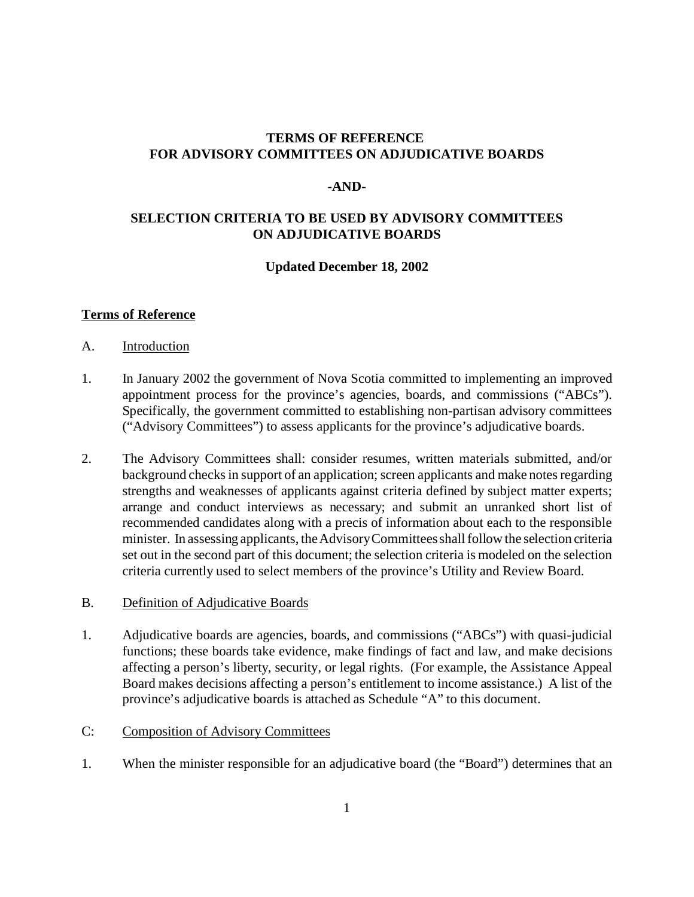## **TERMS OF REFERENCE FOR ADVISORY COMMITTEES ON ADJUDICATIVE BOARDS**

#### **-AND-**

## **SELECTION CRITERIA TO BE USED BY ADVISORY COMMITTEES ON ADJUDICATIVE BOARDS**

#### **Updated December 18, 2002**

#### **Terms of Reference**

- A. Introduction
- 1. In January 2002 the government of Nova Scotia committed to implementing an improved appointment process for the province's agencies, boards, and commissions ("ABCs"). Specifically, the government committed to establishing non-partisan advisory committees ("Advisory Committees") to assess applicants for the province's adjudicative boards.
- 2. The Advisory Committees shall: consider resumes, written materials submitted, and/or background checks in support of an application; screen applicants and make notes regarding strengths and weaknesses of applicants against criteria defined by subject matter experts; arrange and conduct interviews as necessary; and submit an unranked short list of recommended candidates along with a precis of information about each to the responsible minister. In assessing applicants, the Advisory Committees shall follow the selection criteria set out in the second part of this document; the selection criteria is modeled on the selection criteria currently used to select members of the province's Utility and Review Board.
- B. Definition of Adjudicative Boards
- 1. Adjudicative boards are agencies, boards, and commissions ("ABCs") with quasi-judicial functions; these boards take evidence, make findings of fact and law, and make decisions affecting a person's liberty, security, or legal rights. (For example, the Assistance Appeal Board makes decisions affecting a person's entitlement to income assistance.) A list of the province's adjudicative boards is attached as Schedule "A" to this document.
- C: Composition of Advisory Committees
- 1. When the minister responsible for an adjudicative board (the "Board") determines that an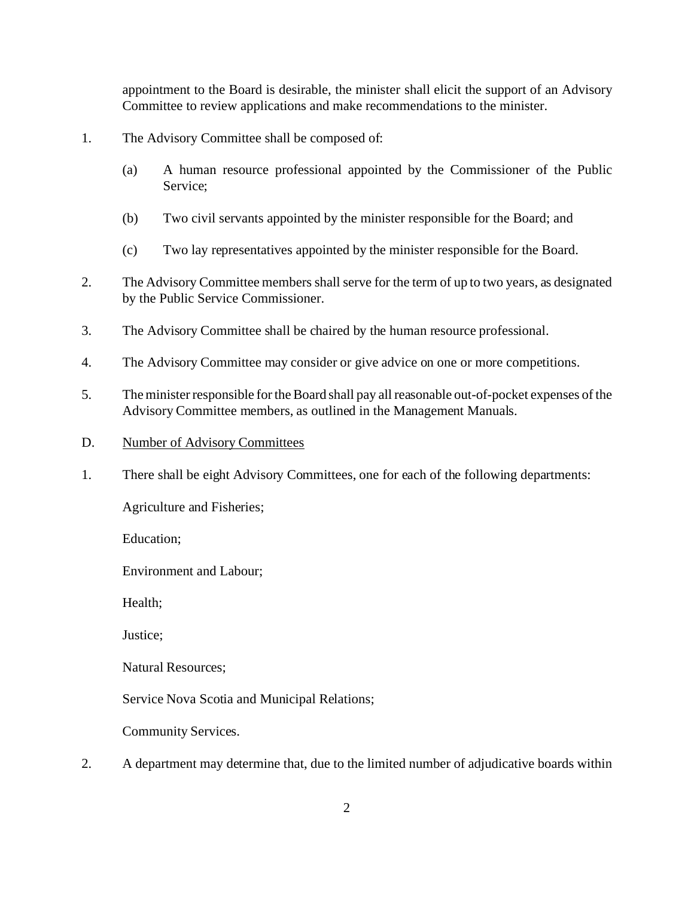appointment to the Board is desirable, the minister shall elicit the support of an Advisory Committee to review applications and make recommendations to the minister.

- 1. The Advisory Committee shall be composed of:
	- (a) A human resource professional appointed by the Commissioner of the Public Service;
	- (b) Two civil servants appointed by the minister responsible for the Board; and
	- (c) Two lay representatives appointed by the minister responsible for the Board.
- 2. The Advisory Committee members shall serve for the term of up to two years, as designated by the Public Service Commissioner.
- 3. The Advisory Committee shall be chaired by the human resource professional.
- 4. The Advisory Committee may consider or give advice on one or more competitions.
- 5. The minister responsible for the Board shall pay all reasonable out-of-pocket expenses of the Advisory Committee members, as outlined in the Management Manuals.
- D. Number of Advisory Committees
- 1. There shall be eight Advisory Committees, one for each of the following departments:

Agriculture and Fisheries;

Education;

Environment and Labour;

Health;

Justice;

Natural Resources;

Service Nova Scotia and Municipal Relations;

Community Services.

2. A department may determine that, due to the limited number of adjudicative boards within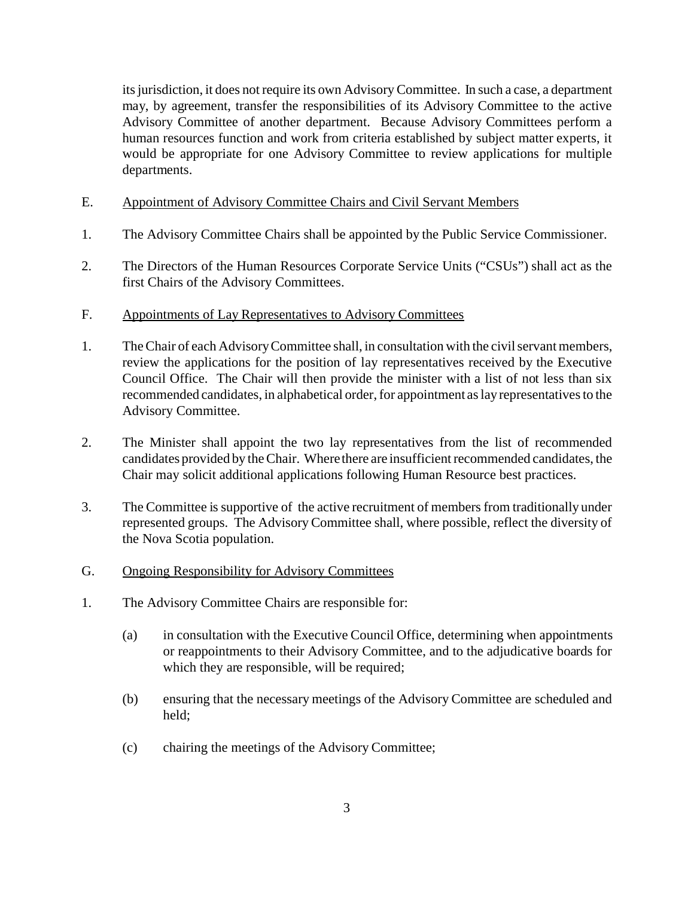its jurisdiction, it does not require its own Advisory Committee. In such a case, a department may, by agreement, transfer the responsibilities of its Advisory Committee to the active Advisory Committee of another department. Because Advisory Committees perform a human resources function and work from criteria established by subject matter experts, it would be appropriate for one Advisory Committee to review applications for multiple departments.

- E. Appointment of Advisory Committee Chairs and Civil Servant Members
- 1. The Advisory Committee Chairs shall be appointed by the Public Service Commissioner.
- 2. The Directors of the Human Resources Corporate Service Units ("CSUs") shall act as the first Chairs of the Advisory Committees.
- F. Appointments of Lay Representatives to Advisory Committees
- 1. The Chair of each Advisory Committee shall, in consultation with the civil servant members, review the applications for the position of lay representatives received by the Executive Council Office. The Chair will then provide the minister with a list of not less than six recommended candidates, in alphabetical order, for appointment as lay representatives to the Advisory Committee.
- 2. The Minister shall appoint the two lay representatives from the list of recommended candidates provided by the Chair. Where there are insufficient recommended candidates, the Chair may solicit additional applications following Human Resource best practices.
- 3. The Committee is supportive of the active recruitment of members from traditionally under represented groups. The Advisory Committee shall, where possible, reflect the diversity of the Nova Scotia population.
- G. Ongoing Responsibility for Advisory Committees
- 1. The Advisory Committee Chairs are responsible for:
	- (a) in consultation with the Executive Council Office, determining when appointments or reappointments to their Advisory Committee, and to the adjudicative boards for which they are responsible, will be required;
	- (b) ensuring that the necessary meetings of the Advisory Committee are scheduled and held;
	- (c) chairing the meetings of the Advisory Committee;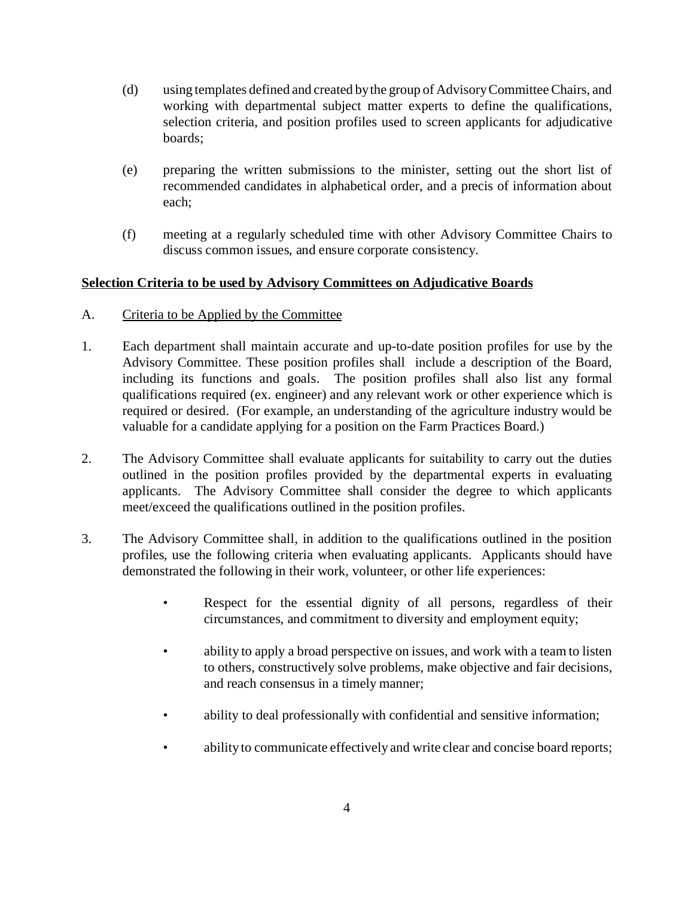- (d) using templates defined and created by the group of Advisory Committee Chairs, and working with departmental subject matter experts to define the qualifications, selection criteria, and position profiles used to screen applicants for adjudicative boards;
- (e) preparing the written submissions to the minister, setting out the short list of recommended candidates in alphabetical order, and a precis of information about each;
- (f) meeting at a regularly scheduled time with other Advisory Committee Chairs to discuss common issues, and ensure corporate consistency.

## **Selection Criteria to be used by Advisory Committees on Adjudicative Boards**

- A. Criteria to be Applied by the Committee
- 1. Each department shall maintain accurate and up-to-date position profiles for use by the Advisory Committee. These position profiles shall include a description of the Board, including its functions and goals. The position profiles shall also list any formal qualifications required (ex. engineer) and any relevant work or other experience which is required or desired. (For example, an understanding of the agriculture industry would be valuable for a candidate applying for a position on the Farm Practices Board.)
- 2. The Advisory Committee shall evaluate applicants for suitability to carry out the duties outlined in the position profiles provided by the departmental experts in evaluating applicants. The Advisory Committee shall consider the degree to which applicants meet/exceed the qualifications outlined in the position profiles.
- 3. The Advisory Committee shall, in addition to the qualifications outlined in the position profiles, use the following criteria when evaluating applicants. Applicants should have demonstrated the following in their work, volunteer, or other life experiences:
	- Respect for the essential dignity of all persons, regardless of their circumstances, and commitment to diversity and employment equity;
	- ability to apply a broad perspective on issues, and work with a team to listen to others, constructively solve problems, make objective and fair decisions, and reach consensus in a timely manner;
	- ability to deal professionally with confidential and sensitive information;
	- ability to communicate effectively and write clear and concise board reports;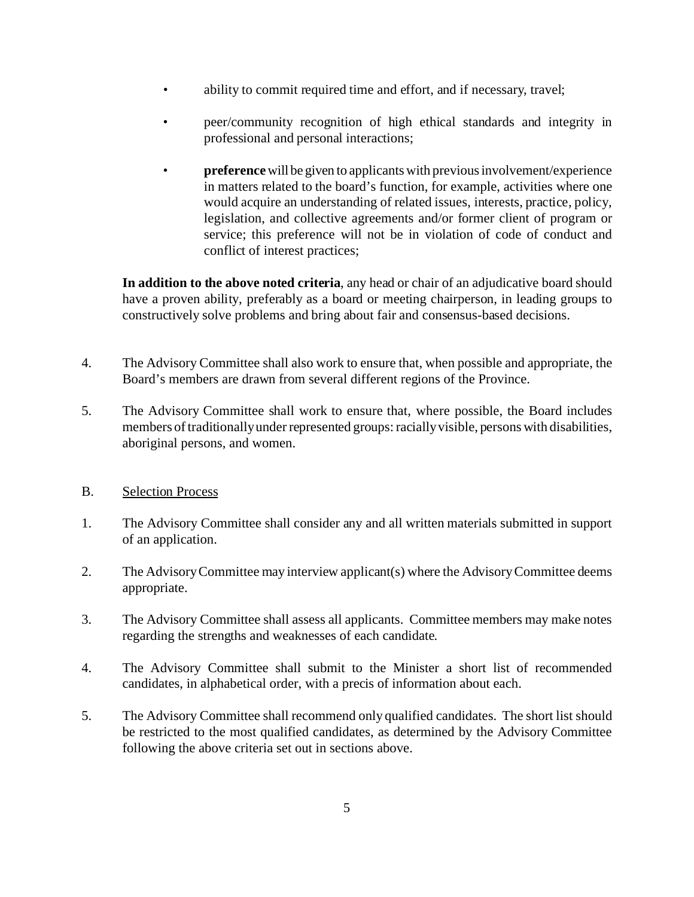- ability to commit required time and effort, and if necessary, travel;
- peer/community recognition of high ethical standards and integrity in professional and personal interactions;
- **preference**will be given to applicants with previous involvement/experience in matters related to the board's function, for example, activities where one would acquire an understanding of related issues, interests, practice, policy, legislation, and collective agreements and/or former client of program or service; this preference will not be in violation of code of conduct and conflict of interest practices;

**In addition to the above noted criteria**, any head or chair of an adjudicative board should have a proven ability, preferably as a board or meeting chairperson, in leading groups to constructively solve problems and bring about fair and consensus-based decisions.

- 4. The Advisory Committee shall also work to ensure that, when possible and appropriate, the Board's members are drawn from several different regions of the Province.
- 5. The Advisory Committee shall work to ensure that, where possible, the Board includes members of traditionally under represented groups: racially visible, persons with disabilities, aboriginal persons, and women.
- B. Selection Process
- 1. The Advisory Committee shall consider any and all written materials submitted in support of an application.
- 2. The Advisory Committee may interview applicant(s) where the Advisory Committee deems appropriate.
- 3. The Advisory Committee shall assess all applicants. Committee members may make notes regarding the strengths and weaknesses of each candidate.
- 4. The Advisory Committee shall submit to the Minister a short list of recommended candidates, in alphabetical order, with a precis of information about each.
- 5. The Advisory Committee shall recommend only qualified candidates. The short list should be restricted to the most qualified candidates, as determined by the Advisory Committee following the above criteria set out in sections above.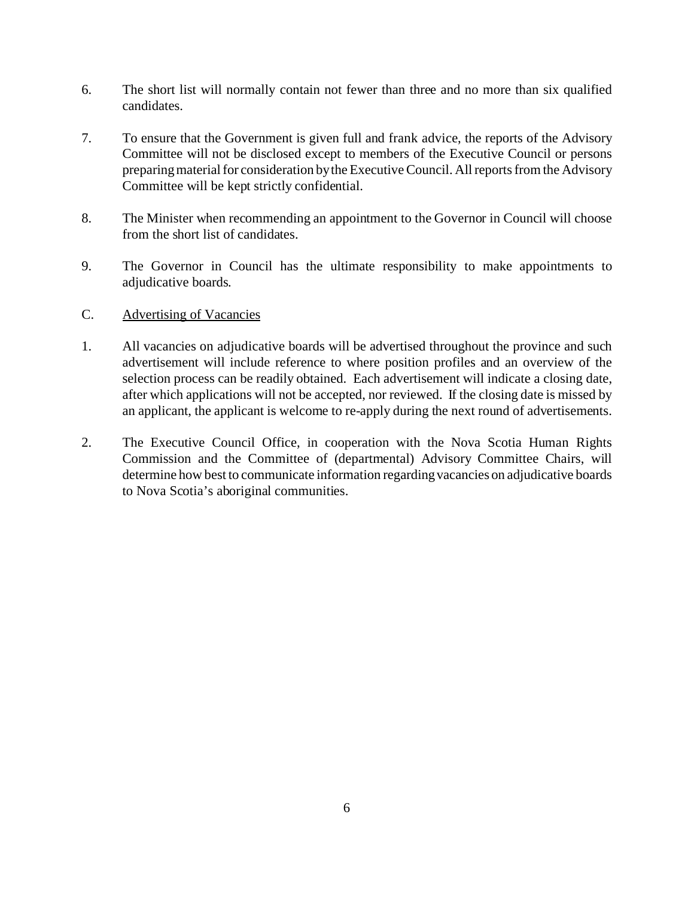- 6. The short list will normally contain not fewer than three and no more than six qualified candidates.
- 7. To ensure that the Government is given full and frank advice, the reports of the Advisory Committee will not be disclosed except to members of the Executive Council or persons preparing material for consideration by the Executive Council. All reports from the Advisory Committee will be kept strictly confidential.
- 8. The Minister when recommending an appointment to the Governor in Council will choose from the short list of candidates.
- 9. The Governor in Council has the ultimate responsibility to make appointments to adjudicative boards*.*
- C. Advertising of Vacancies
- 1. All vacancies on adjudicative boards will be advertised throughout the province and such advertisement will include reference to where position profiles and an overview of the selection process can be readily obtained. Each advertisement will indicate a closing date, after which applications will not be accepted, nor reviewed. If the closing date is missed by an applicant, the applicant is welcome to re-apply during the next round of advertisements.
- 2. The Executive Council Office, in cooperation with the Nova Scotia Human Rights Commission and the Committee of (departmental) Advisory Committee Chairs, will determine how best to communicate information regarding vacancies on adjudicative boards to Nova Scotia's aboriginal communities.